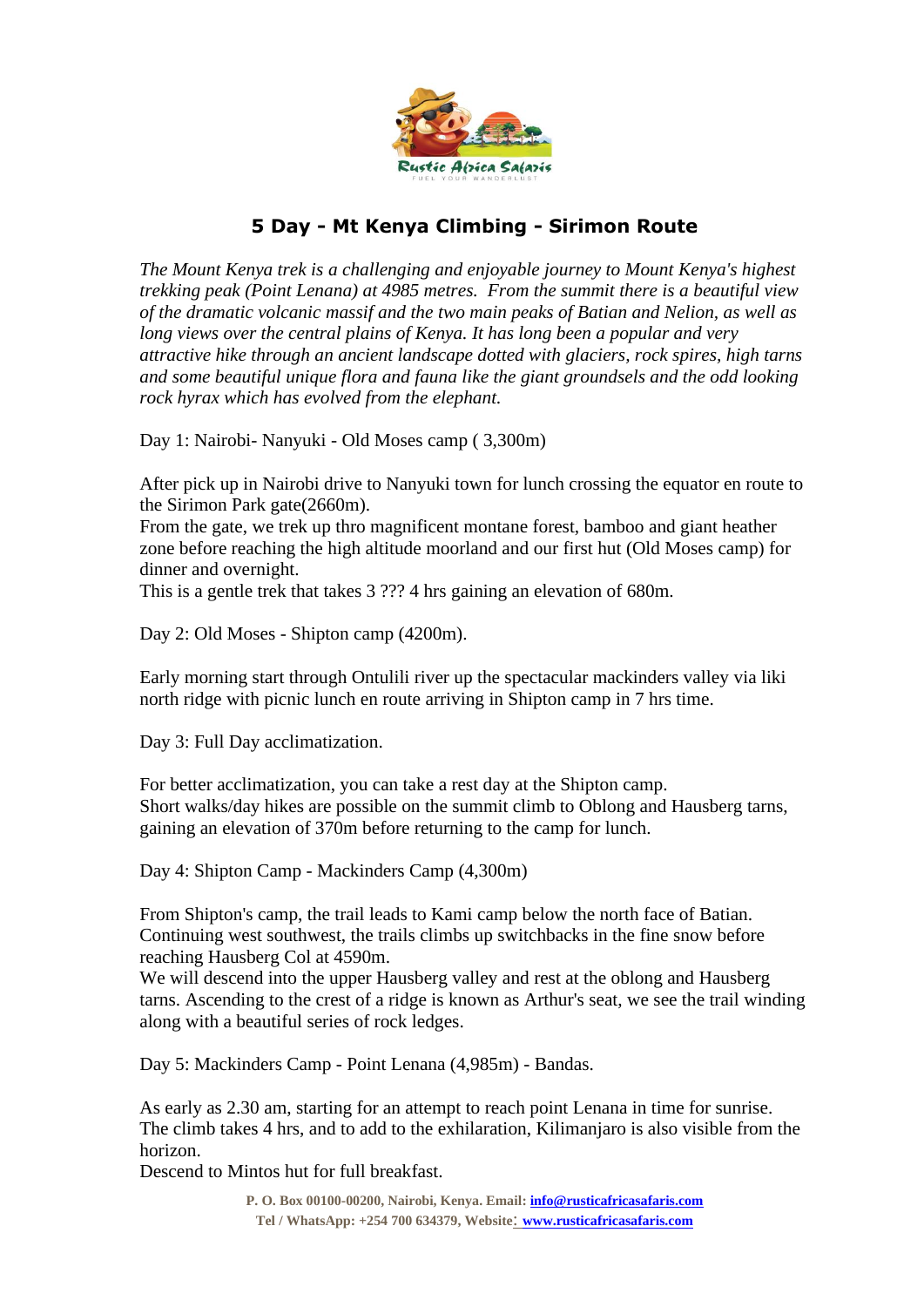

## **5 Day - Mt Kenya Climbing - Sirimon Route**

*The Mount Kenya trek is a challenging and enjoyable journey to Mount Kenya's highest trekking peak (Point Lenana) at 4985 metres. From the summit there is a beautiful view of the dramatic volcanic massif and the two main peaks of Batian and Nelion, as well as long views over the central plains of Kenya. It has long been a popular and very attractive hike through an ancient landscape dotted with glaciers, rock spires, high tarns and some beautiful unique flora and fauna like the giant groundsels and the odd looking rock hyrax which has evolved from the elephant.*

Day 1: Nairobi- Nanyuki - Old Moses camp ( 3,300m)

After pick up in Nairobi drive to Nanyuki town for lunch crossing the equator en route to the Sirimon Park gate(2660m).

From the gate, we trek up thro magnificent montane forest, bamboo and giant heather zone before reaching the high altitude moorland and our first hut (Old Moses camp) for dinner and overnight.

This is a gentle trek that takes 3 ??? 4 hrs gaining an elevation of 680m.

Day 2: Old Moses - Shipton camp (4200m).

Early morning start through Ontulili river up the spectacular mackinders valley via liki north ridge with picnic lunch en route arriving in Shipton camp in 7 hrs time.

Day 3: Full Day acclimatization.

For better acclimatization, you can take a rest day at the Shipton camp. Short walks/day hikes are possible on the summit climb to Oblong and Hausberg tarns, gaining an elevation of 370m before returning to the camp for lunch.

Day 4: Shipton Camp - Mackinders Camp (4,300m)

From Shipton's camp, the trail leads to Kami camp below the north face of Batian. Continuing west southwest, the trails climbs up switchbacks in the fine snow before reaching Hausberg Col at 4590m.

We will descend into the upper Hausberg valley and rest at the oblong and Hausberg tarns. Ascending to the crest of a ridge is known as Arthur's seat, we see the trail winding along with a beautiful series of rock ledges.

Day 5: Mackinders Camp - Point Lenana (4,985m) - Bandas.

As early as 2.30 am, starting for an attempt to reach point Lenana in time for sunrise. The climb takes 4 hrs, and to add to the exhilaration, Kilimanjaro is also visible from the horizon.

Descend to Mintos hut for full breakfast.

**P. O. Box 00100-00200, Nairobi, Kenya. Email[: info@rusticafricasafaris.com](mailto:info@rusticafricasafaris.com) Tel / WhatsApp: +254 700 634379, Website**: **[www.rusticafricasafaris.com](http://www.rusticafricasafaris.com/)**